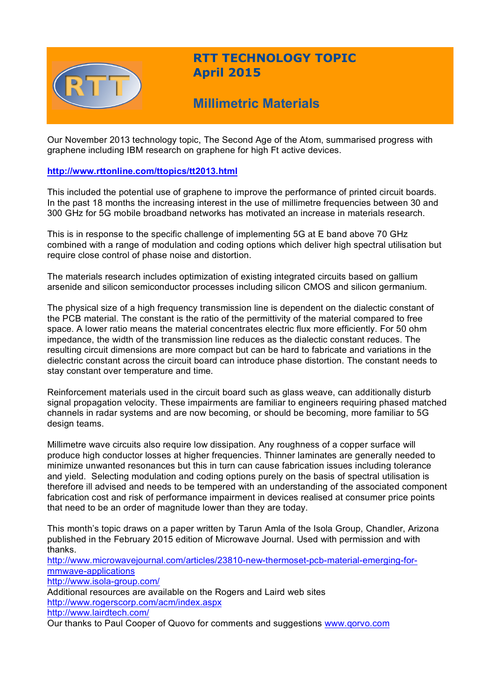

## **RTT TECHNOLOGY TOPIC April 2015**

# **Millimetric Materials**

Our November 2013 technology topic, The Second Age of the Atom, summarised progress with graphene including IBM research on graphene for high Ft active devices.

### **http://www.rttonline.com/ttopics/tt2013.html**

This included the potential use of graphene to improve the performance of printed circuit boards. In the past 18 months the increasing interest in the use of millimetre frequencies between 30 and 300 GHz for 5G mobile broadband networks has motivated an increase in materials research.

This is in response to the specific challenge of implementing 5G at E band above 70 GHz combined with a range of modulation and coding options which deliver high spectral utilisation but require close control of phase noise and distortion.

The materials research includes optimization of existing integrated circuits based on gallium arsenide and silicon semiconductor processes including silicon CMOS and silicon germanium.

The physical size of a high frequency transmission line is dependent on the dialectic constant of the PCB material. The constant is the ratio of the permittivity of the material compared to free space. A lower ratio means the material concentrates electric flux more efficiently. For 50 ohm impedance, the width of the transmission line reduces as the dialectic constant reduces. The resulting circuit dimensions are more compact but can be hard to fabricate and variations in the dielectric constant across the circuit board can introduce phase distortion. The constant needs to stay constant over temperature and time.

Reinforcement materials used in the circuit board such as glass weave, can additionally disturb signal propagation velocity. These impairments are familiar to engineers requiring phased matched channels in radar systems and are now becoming, or should be becoming, more familiar to 5G design teams.

Millimetre wave circuits also require low dissipation. Any roughness of a copper surface will produce high conductor losses at higher frequencies. Thinner laminates are generally needed to minimize unwanted resonances but this in turn can cause fabrication issues including tolerance and yield. Selecting modulation and coding options purely on the basis of spectral utilisation is therefore ill advised and needs to be tempered with an understanding of the associated component fabrication cost and risk of performance impairment in devices realised at consumer price points that need to be an order of magnitude lower than they are today.

This month's topic draws on a paper written by Tarun Amla of the Isola Group, Chandler, Arizona published in the February 2015 edition of Microwave Journal. Used with permission and with thanks.

http://www.microwavejournal.com/articles/23810-new-thermoset-pcb-material-emerging-formmwave-applications http://www.isola-group.com/ Additional resources are available on the Rogers and Laird web sites http://www.rogerscorp.com/acm/index.aspx http://www.lairdtech.com/

Our thanks to Paul Cooper of Quovo for comments and suggestions www.qorvo.com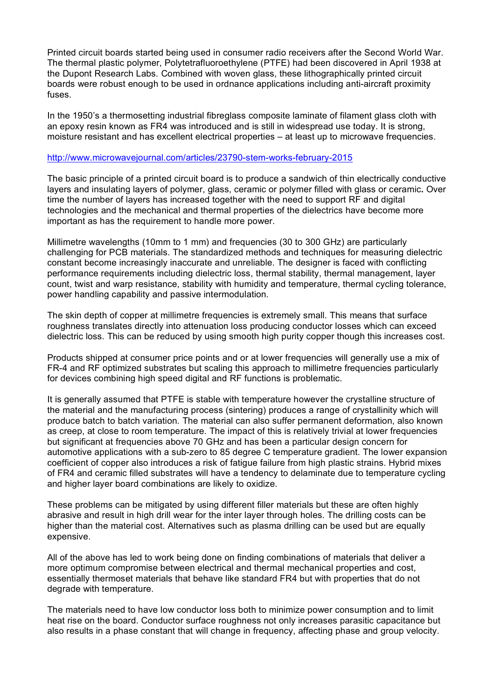Printed circuit boards started being used in consumer radio receivers after the Second World War. The thermal plastic polymer, Polytetrafluoroethylene (PTFE) had been discovered in April 1938 at the Dupont Research Labs. Combined with woven glass, these lithographically printed circuit boards were robust enough to be used in ordnance applications including anti-aircraft proximity fuses.

In the 1950's a thermosetting industrial fibreglass composite laminate of filament glass cloth with an epoxy resin known as FR4 was introduced and is still in widespread use today. It is strong, moisture resistant and has excellent electrical properties – at least up to microwave frequencies.

### http://www.microwavejournal.com/articles/23790-stem-works-february-2015

The basic principle of a printed circuit board is to produce a sandwich of thin electrically conductive layers and insulating layers of polymer, glass, ceramic or polymer filled with glass or ceramic**.** Over time the number of layers has increased together with the need to support RF and digital technologies and the mechanical and thermal properties of the dielectrics have become more important as has the requirement to handle more power.

Millimetre wavelengths (10mm to 1 mm) and frequencies (30 to 300 GHz) are particularly challenging for PCB materials. The standardized methods and techniques for measuring dielectric constant become increasingly inaccurate and unreliable. The designer is faced with conflicting performance requirements including dielectric loss, thermal stability, thermal management, layer count, twist and warp resistance, stability with humidity and temperature, thermal cycling tolerance, power handling capability and passive intermodulation.

The skin depth of copper at millimetre frequencies is extremely small. This means that surface roughness translates directly into attenuation loss producing conductor losses which can exceed dielectric loss. This can be reduced by using smooth high purity copper though this increases cost.

Products shipped at consumer price points and or at lower frequencies will generally use a mix of FR-4 and RF optimized substrates but scaling this approach to millimetre frequencies particularly for devices combining high speed digital and RF functions is problematic.

It is generally assumed that PTFE is stable with temperature however the crystalline structure of the material and the manufacturing process (sintering) produces a range of crystallinity which will produce batch to batch variation. The material can also suffer permanent deformation, also known as creep, at close to room temperature. The impact of this is relatively trivial at lower frequencies but significant at frequencies above 70 GHz and has been a particular design concern for automotive applications with a sub-zero to 85 degree C temperature gradient. The lower expansion coefficient of copper also introduces a risk of fatigue failure from high plastic strains. Hybrid mixes of FR4 and ceramic filled substrates will have a tendency to delaminate due to temperature cycling and higher layer board combinations are likely to oxidize.

These problems can be mitigated by using different filler materials but these are often highly abrasive and result in high drill wear for the inter layer through holes. The drilling costs can be higher than the material cost. Alternatives such as plasma drilling can be used but are equally expensive.

All of the above has led to work being done on finding combinations of materials that deliver a more optimum compromise between electrical and thermal mechanical properties and cost, essentially thermoset materials that behave like standard FR4 but with properties that do not degrade with temperature.

The materials need to have low conductor loss both to minimize power consumption and to limit heat rise on the board. Conductor surface roughness not only increases parasitic capacitance but also results in a phase constant that will change in frequency, affecting phase and group velocity.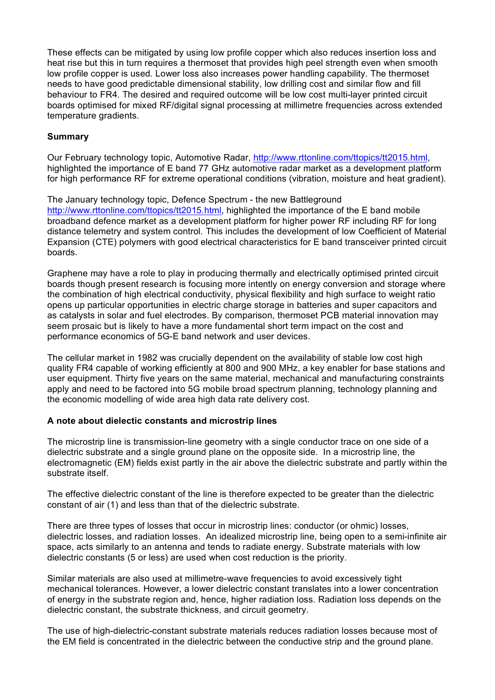These effects can be mitigated by using low profile copper which also reduces insertion loss and heat rise but this in turn requires a thermoset that provides high peel strength even when smooth low profile copper is used. Lower loss also increases power handling capability. The thermoset needs to have good predictable dimensional stability, low drilling cost and similar flow and fill behaviour to FR4. The desired and required outcome will be low cost multi-layer printed circuit boards optimised for mixed RF/digital signal processing at millimetre frequencies across extended temperature gradients.

## **Summary**

Our February technology topic, Automotive Radar, http://www.rttonline.com/ttopics/tt2015.html, highlighted the importance of E band 77 GHz automotive radar market as a development platform for high performance RF for extreme operational conditions (vibration, moisture and heat gradient).

The January technology topic, Defence Spectrum - the new Battleground http://www.rttonline.com/ttopics/tt2015.html, highlighted the importance of the E band mobile broadband defence market as a development platform for higher power RF including RF for long distance telemetry and system control. This includes the development of low Coefficient of Material Expansion (CTE) polymers with good electrical characteristics for E band transceiver printed circuit boards.

Graphene may have a role to play in producing thermally and electrically optimised printed circuit boards though present research is focusing more intently on energy conversion and storage where the combination of high electrical conductivity, physical flexibility and high surface to weight ratio opens up particular opportunities in electric charge storage in batteries and super capacitors and as catalysts in solar and fuel electrodes. By comparison, thermoset PCB material innovation may seem prosaic but is likely to have a more fundamental short term impact on the cost and performance economics of 5G-E band network and user devices.

The cellular market in 1982 was crucially dependent on the availability of stable low cost high quality FR4 capable of working efficiently at 800 and 900 MHz, a key enabler for base stations and user equipment. Thirty five years on the same material, mechanical and manufacturing constraints apply and need to be factored into 5G mobile broad spectrum planning, technology planning and the economic modelling of wide area high data rate delivery cost.

## **A note about dielectic constants and microstrip lines**

The microstrip line is transmission-line geometry with a single conductor trace on one side of a dielectric substrate and a single ground plane on the opposite side. In a microstrip line, the electromagnetic (EM) fields exist partly in the air above the dielectric substrate and partly within the substrate itself.

The effective dielectric constant of the line is therefore expected to be greater than the dielectric constant of air (1) and less than that of the dielectric substrate.

There are three types of losses that occur in microstrip lines: conductor (or ohmic) losses, dielectric losses, and radiation losses. An idealized microstrip line, being open to a semi-infinite air space, acts similarly to an antenna and tends to radiate energy. Substrate materials with low dielectric constants (5 or less) are used when cost reduction is the priority.

Similar materials are also used at millimetre-wave frequencies to avoid excessively tight mechanical tolerances. However, a lower dielectric constant translates into a lower concentration of energy in the substrate region and, hence, higher radiation loss. Radiation loss depends on the dielectric constant, the substrate thickness, and circuit geometry.

The use of high-dielectric-constant substrate materials reduces radiation losses because most of the EM field is concentrated in the dielectric between the conductive strip and the ground plane.